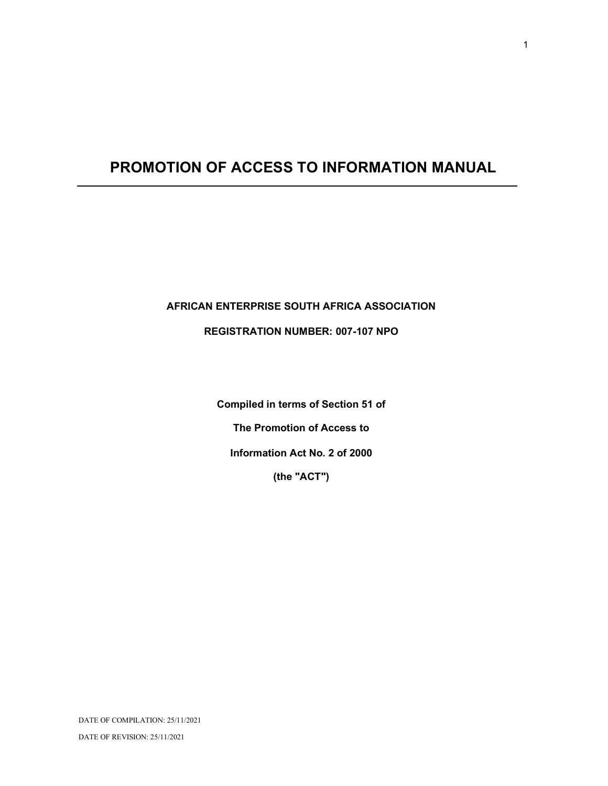# PROMOTION OF ACCESS TO INFORMATION MANUAL

## AFRICAN ENTERPRISE SOUTH AFRICA ASSOCIATION

## REGISTRATION NUMBER: 007-107 NPO

Compiled in terms of Section 51 of The Promotion of Access to Information Act No. 2 of 2000 (the "ACT")

1

DATE OF COMPILATION: 25/11/2021

DATE OF REVISION: 25/11/2021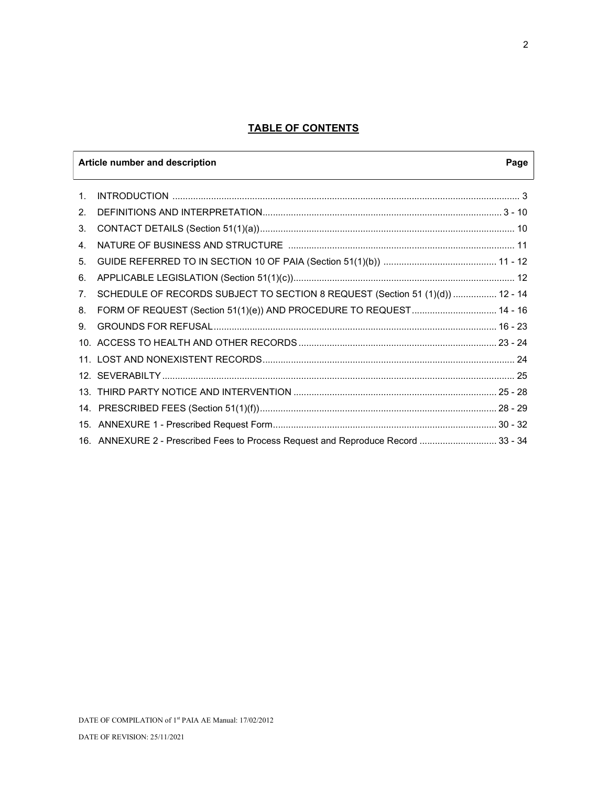## TABLE OF CONTENTS

|                | Article number and description                                                    | Page |
|----------------|-----------------------------------------------------------------------------------|------|
| 1.             |                                                                                   |      |
| 2.             |                                                                                   |      |
| 3.             |                                                                                   |      |
| 4.             |                                                                                   |      |
| 5.             |                                                                                   |      |
| 6.             |                                                                                   |      |
| 7 <sub>1</sub> | SCHEDULE OF RECORDS SUBJECT TO SECTION 8 REQUEST (Section 51 (1)(d))  12 - 14     |      |
| 8.             | FORM OF REQUEST (Section 51(1)(e)) AND PROCEDURE TO REQUEST 14 - 16               |      |
| 9.             |                                                                                   |      |
|                |                                                                                   |      |
|                |                                                                                   |      |
|                |                                                                                   |      |
|                |                                                                                   |      |
|                |                                                                                   |      |
|                |                                                                                   |      |
|                | 16. ANNEXURE 2 - Prescribed Fees to Process Request and Reproduce Record  33 - 34 |      |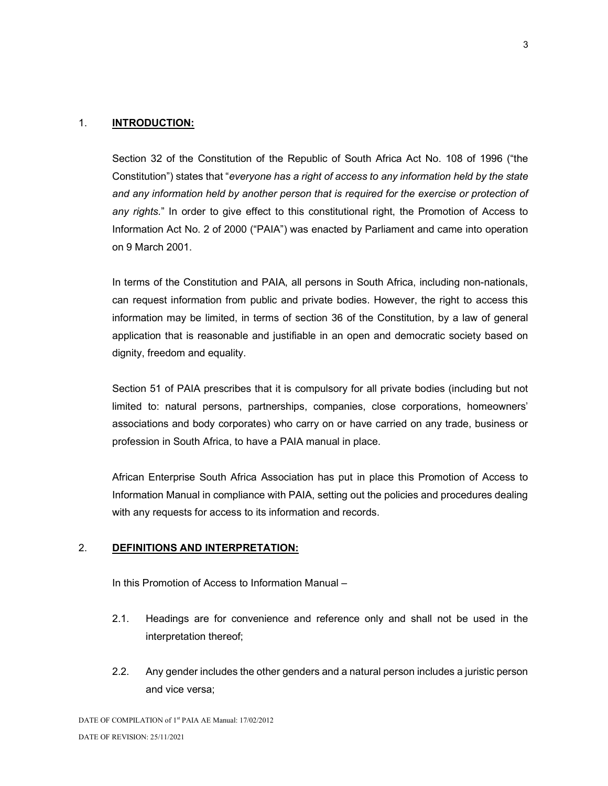## 1. **INTRODUCTION:**

Section 32 of the Constitution of the Republic of South Africa Act No. 108 of 1996 ("the Constitution") states that "everyone has a right of access to any information held by the state and any information held by another person that is required for the exercise or protection of any rights." In order to give effect to this constitutional right, the Promotion of Access to Information Act No. 2 of 2000 ("PAIA") was enacted by Parliament and came into operation on 9 March 2001.

In terms of the Constitution and PAIA, all persons in South Africa, including non-nationals, can request information from public and private bodies. However, the right to access this information may be limited, in terms of section 36 of the Constitution, by a law of general application that is reasonable and justifiable in an open and democratic society based on dignity, freedom and equality.

Section 51 of PAIA prescribes that it is compulsory for all private bodies (including but not limited to: natural persons, partnerships, companies, close corporations, homeowners' associations and body corporates) who carry on or have carried on any trade, business or profession in South Africa, to have a PAIA manual in place.

African Enterprise South Africa Association has put in place this Promotion of Access to Information Manual in compliance with PAIA, setting out the policies and procedures dealing with any requests for access to its information and records.

## 2. DEFINITIONS AND INTERPRETATION:

In this Promotion of Access to Information Manual –

- 2.1. Headings are for convenience and reference only and shall not be used in the interpretation thereof;
- 2.2. Any gender includes the other genders and a natural person includes a juristic person and vice versa;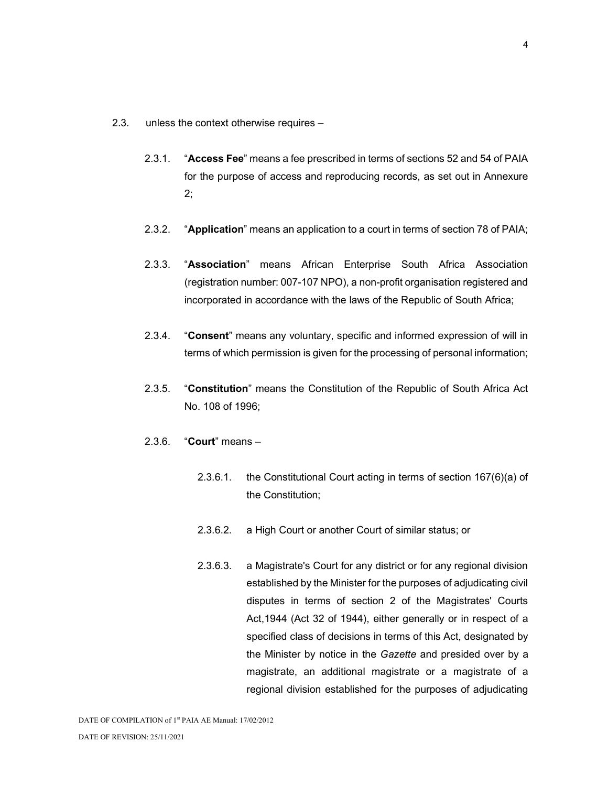- 2.3. unless the context otherwise requires
	- 2.3.1. "Access Fee" means a fee prescribed in terms of sections 52 and 54 of PAIA for the purpose of access and reproducing records, as set out in Annexure 2;
	- 2.3.2. "Application" means an application to a court in terms of section 78 of PAIA;
	- 2.3.3. "Association" means African Enterprise South Africa Association (registration number: 007-107 NPO), a non-profit organisation registered and incorporated in accordance with the laws of the Republic of South Africa;
	- 2.3.4. "Consent" means any voluntary, specific and informed expression of will in terms of which permission is given for the processing of personal information;
	- 2.3.5. "Constitution" means the Constitution of the Republic of South Africa Act No. 108 of 1996;
	- 2.3.6. "Court" means
		- 2.3.6.1. the Constitutional Court acting in terms of section 167(6)(a) of the Constitution;
		- 2.3.6.2. a High Court or another Court of similar status; or
		- 2.3.6.3. a Magistrate's Court for any district or for any regional division established by the Minister for the purposes of adjudicating civil disputes in terms of section 2 of the Magistrates' Courts Act,1944 (Act 32 of 1944), either generally or in respect of a specified class of decisions in terms of this Act, designated by the Minister by notice in the Gazette and presided over by a magistrate, an additional magistrate or a magistrate of a regional division established for the purposes of adjudicating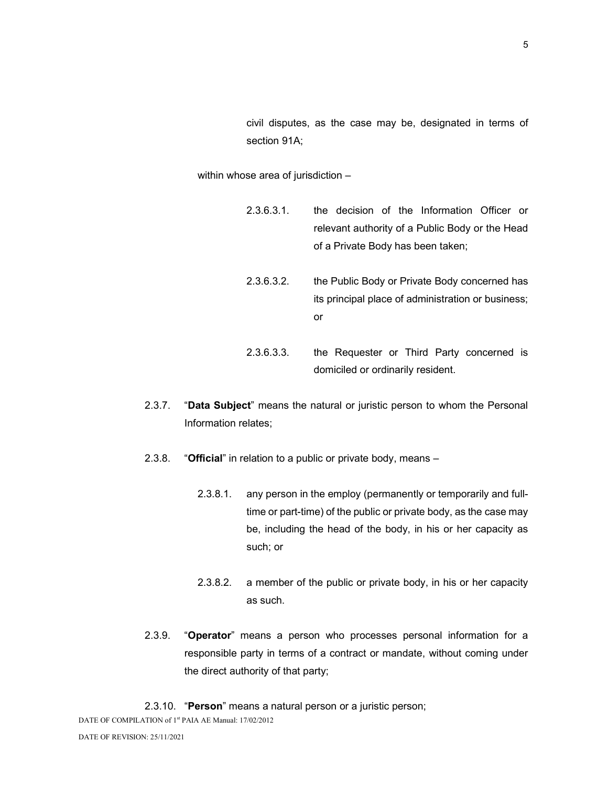civil disputes, as the case may be, designated in terms of section 91A;

within whose area of jurisdiction –

- 2.3.6.3.1. the decision of the Information Officer or relevant authority of a Public Body or the Head of a Private Body has been taken;
- 2.3.6.3.2. the Public Body or Private Body concerned has its principal place of administration or business; or
- 2.3.6.3.3. the Requester or Third Party concerned is domiciled or ordinarily resident.
- 2.3.7. "Data Subject" means the natural or juristic person to whom the Personal Information relates;
- 2.3.8. "Official" in relation to a public or private body, means -
	- 2.3.8.1. any person in the employ (permanently or temporarily and fulltime or part-time) of the public or private body, as the case may be, including the head of the body, in his or her capacity as such; or
	- 2.3.8.2. a member of the public or private body, in his or her capacity as such.
- 2.3.9. "Operator" means a person who processes personal information for a responsible party in terms of a contract or mandate, without coming under the direct authority of that party;
- 2.3.10. "Person" means a natural person or a juristic person;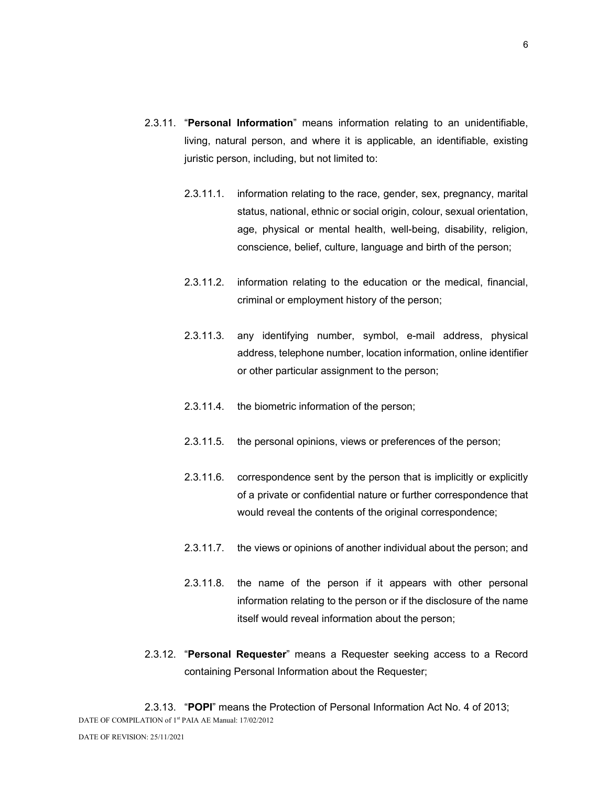- 2.3.11. "Personal Information" means information relating to an unidentifiable, living, natural person, and where it is applicable, an identifiable, existing juristic person, including, but not limited to:
	- 2.3.11.1. information relating to the race, gender, sex, pregnancy, marital status, national, ethnic or social origin, colour, sexual orientation, age, physical or mental health, well-being, disability, religion, conscience, belief, culture, language and birth of the person;
	- 2.3.11.2. information relating to the education or the medical, financial, criminal or employment history of the person;
	- 2.3.11.3. any identifying number, symbol, e-mail address, physical address, telephone number, location information, online identifier or other particular assignment to the person;
	- 2.3.11.4. the biometric information of the person;
	- 2.3.11.5. the personal opinions, views or preferences of the person;
	- 2.3.11.6. correspondence sent by the person that is implicitly or explicitly of a private or confidential nature or further correspondence that would reveal the contents of the original correspondence;
	- 2.3.11.7. the views or opinions of another individual about the person; and
	- 2.3.11.8. the name of the person if it appears with other personal information relating to the person or if the disclosure of the name itself would reveal information about the person;
- 2.3.12. "Personal Requester" means a Requester seeking access to a Record containing Personal Information about the Requester;

DATE OF COMPILATION of 1<sup>st</sup> PAIA AE Manual: 17/02/2012 2.3.13. "POPI" means the Protection of Personal Information Act No. 4 of 2013;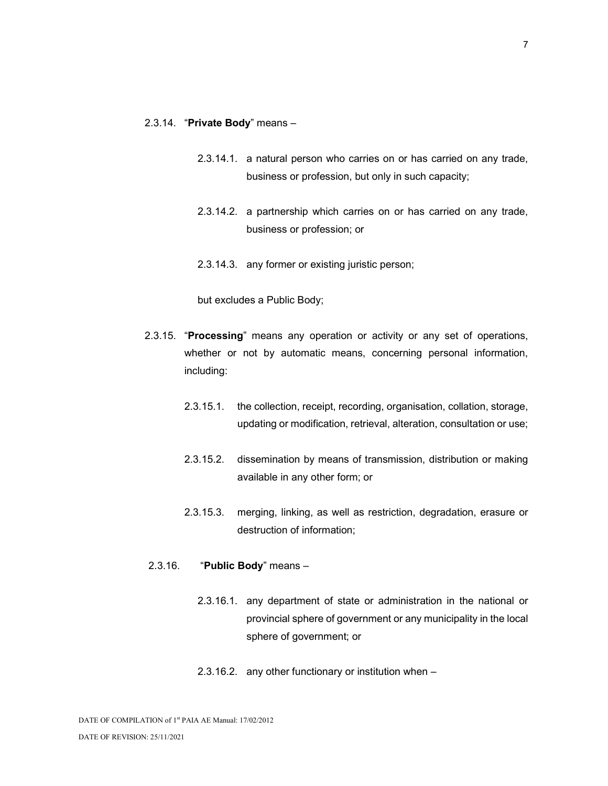#### 2.3.14. "Private Body" means –

- 2.3.14.1. a natural person who carries on or has carried on any trade, business or profession, but only in such capacity;
- 2.3.14.2. a partnership which carries on or has carried on any trade, business or profession; or
- 2.3.14.3. any former or existing juristic person;

but excludes a Public Body;

- 2.3.15. "Processing" means any operation or activity or any set of operations, whether or not by automatic means, concerning personal information, including:
	- 2.3.15.1. the collection, receipt, recording, organisation, collation, storage, updating or modification, retrieval, alteration, consultation or use;
	- 2.3.15.2. dissemination by means of transmission, distribution or making available in any other form; or
	- 2.3.15.3. merging, linking, as well as restriction, degradation, erasure or destruction of information;

#### 2.3.16. "Public Body" means –

- 2.3.16.1. any department of state or administration in the national or provincial sphere of government or any municipality in the local sphere of government; or
- 2.3.16.2. any other functionary or institution when –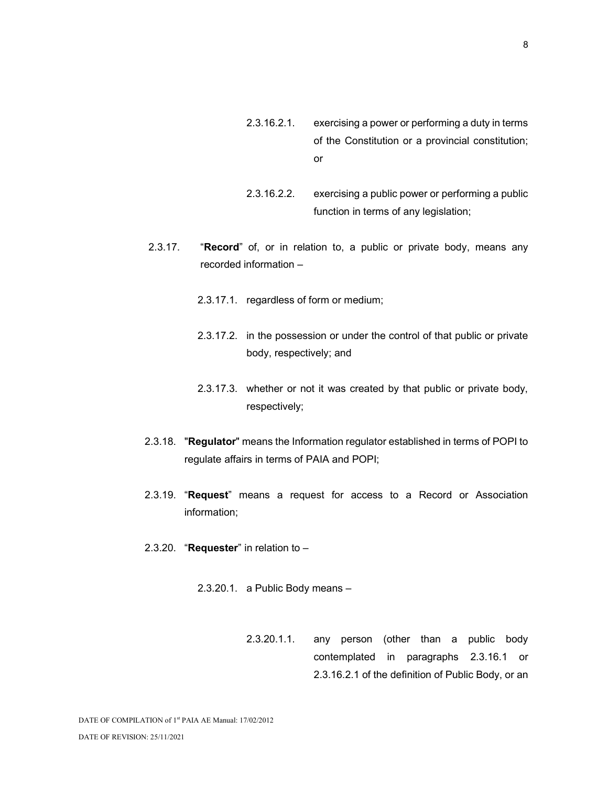- 2.3.16.2.1. exercising a power or performing a duty in terms of the Constitution or a provincial constitution; or
- 2.3.16.2.2. exercising a public power or performing a public function in terms of any legislation;
- 2.3.17. "Record" of, or in relation to, a public or private body, means any recorded information –
	- 2.3.17.1. regardless of form or medium;
	- 2.3.17.2. in the possession or under the control of that public or private body, respectively; and
	- 2.3.17.3. whether or not it was created by that public or private body, respectively;
- 2.3.18. "Regulator" means the Information regulator established in terms of POPI to regulate affairs in terms of PAIA and POPI;
- 2.3.19. "Request" means a request for access to a Record or Association information;
- 2.3.20. "Requester" in relation to  $-$ 
	- 2.3.20.1. a Public Body means
		- 2.3.20.1.1. any person (other than a public body contemplated in paragraphs 2.3.16.1 or 2.3.16.2.1 of the definition of Public Body, or an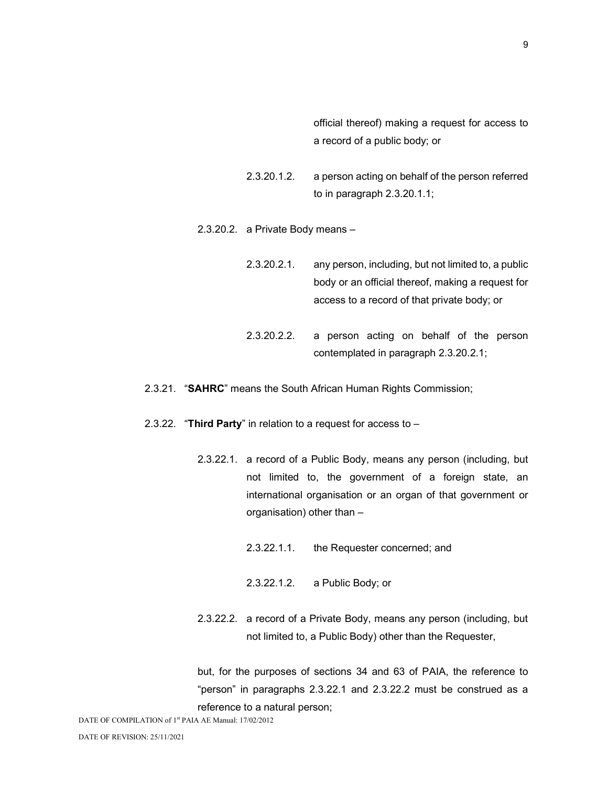official thereof) making a request for access to a record of a public body; or

2.3.20.1.2. a person acting on behalf of the person referred to in paragraph 2.3.20.1.1;

- 2.3.20.2. a Private Body means
	- 2.3.20.2.1. any person, including, but not limited to, a public body or an official thereof, making a request for access to a record of that private body; or
	- 2.3.20.2.2. a person acting on behalf of the person contemplated in paragraph 2.3.20.2.1;
- 2.3.21. "SAHRC" means the South African Human Rights Commission;
- 2.3.22. "Third Party" in relation to a request for access to  $-$ 
	- 2.3.22.1. a record of a Public Body, means any person (including, but not limited to, the government of a foreign state, an international organisation or an organ of that government or organisation) other than –
		- 2.3.22.1.1. the Requester concerned; and
		- 2.3.22.1.2. a Public Body; or
	- 2.3.22.2. a record of a Private Body, means any person (including, but not limited to, a Public Body) other than the Requester,

but, for the purposes of sections 34 and 63 of PAIA, the reference to "person" in paragraphs 2.3.22.1 and 2.3.22.2 must be construed as a reference to a natural person;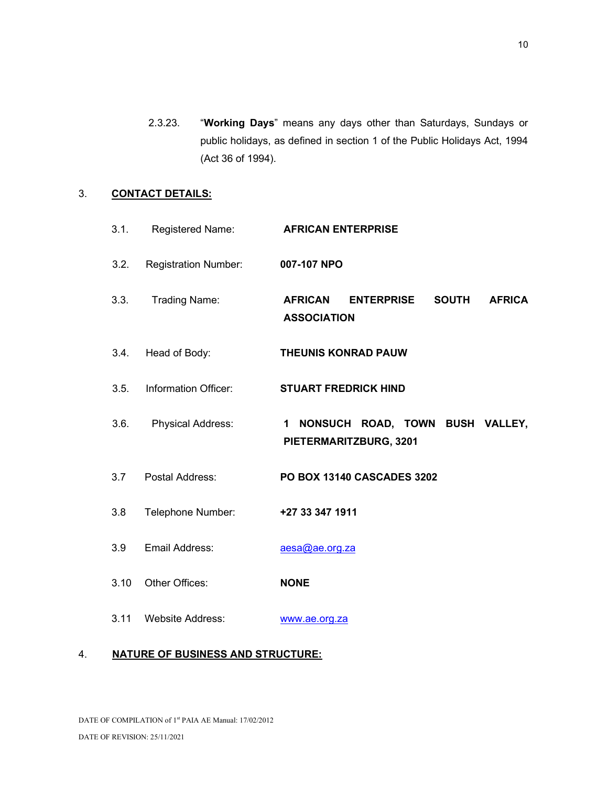2.3.23. "Working Days" means any days other than Saturdays, Sundays or public holidays, as defined in section 1 of the Public Holidays Act, 1994 (Act 36 of 1994).

## 3. CONTACT DETAILS:

| 3.1. | Registered Name:            | <b>AFRICAN ENTERPRISE</b>                                                                  |
|------|-----------------------------|--------------------------------------------------------------------------------------------|
| 3.2. | <b>Registration Number:</b> | 007-107 NPO                                                                                |
| 3.3. | <b>Trading Name:</b>        | <b>AFRICAN</b><br><b>SOUTH</b><br><b>ENTERPRISE</b><br><b>AFRICA</b><br><b>ASSOCIATION</b> |
| 3.4. | Head of Body:               | <b>THEUNIS KONRAD PAUW</b>                                                                 |
| 3.5. | Information Officer:        | <b>STUART FREDRICK HIND</b>                                                                |
| 3.6. | <b>Physical Address:</b>    | 1 NONSUCH ROAD, TOWN BUSH VALLEY,<br>PIETERMARITZBURG, 3201                                |
| 3.7  | Postal Address:             | <b>PO BOX 13140 CASCADES 3202</b>                                                          |
| 3.8  | Telephone Number:           | +27 33 347 1911                                                                            |
| 3.9  | Email Address:              | aesa@ae.org.za                                                                             |
| 3.10 | Other Offices:              | <b>NONE</b>                                                                                |
| 3.11 | <b>Website Address:</b>     | www.ae.org.za                                                                              |

## 4. NATURE OF BUSINESS AND STRUCTURE:

DATE OF COMPILATION of 1st PAIA AE Manual: 17/02/2012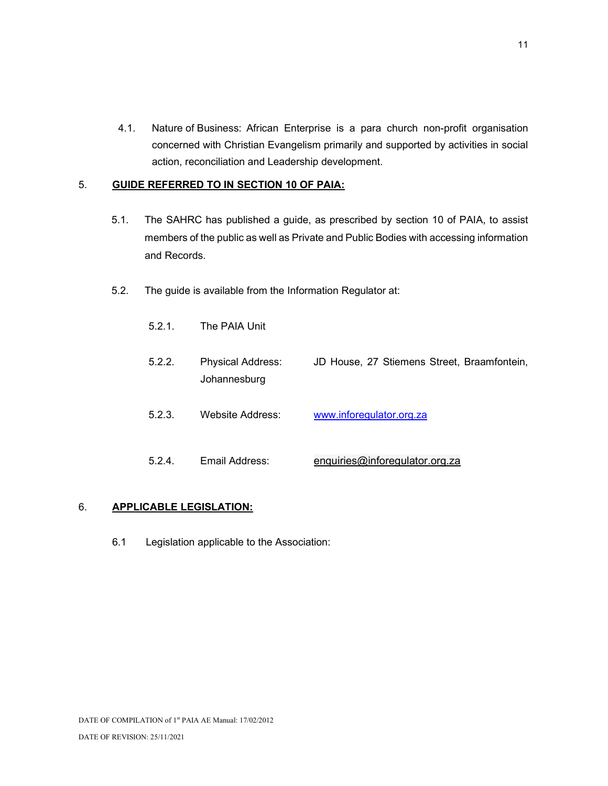4.1. Nature of Business: African Enterprise is a para church non-profit organisation concerned with Christian Evangelism primarily and supported by activities in social action, reconciliation and Leadership development.

## 5. GUIDE REFERRED TO IN SECTION 10 OF PAIA:

- 5.1. The SAHRC has published a guide, as prescribed by section 10 of PAIA, to assist members of the public as well as Private and Public Bodies with accessing information and Records.
- 5.2. The guide is available from the Information Regulator at:
	- 5.2.1. The PAIA Unit
	- 5.2.2. Physical Address: JD House, 27 Stiemens Street, Braamfontein, Johannesburg
	- 5.2.3. Website Address: www.inforegulator.org.za
	- 5.2.4. Email Address: enquiries@inforegulator.org.za

## 6. APPLICABLE LEGISLATION:

6.1 Legislation applicable to the Association: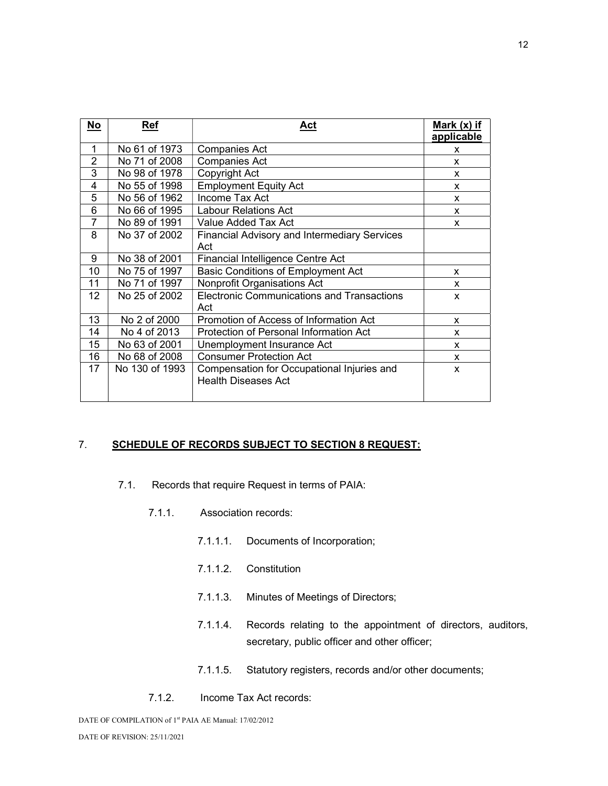| No             | <b>Ref</b>     | Act                                                                      | Mark (x) if<br>applicable |
|----------------|----------------|--------------------------------------------------------------------------|---------------------------|
| 1              | No 61 of 1973  | <b>Companies Act</b>                                                     | X                         |
| 2              | No 71 of 2008  | <b>Companies Act</b>                                                     | <b>X</b>                  |
| 3              | No 98 of 1978  | Copyright Act                                                            | X                         |
| 4              | No 55 of 1998  | <b>Employment Equity Act</b>                                             | X                         |
| 5              | No 56 of 1962  | Income Tax Act                                                           | X                         |
| 6              | No 66 of 1995  | <b>Labour Relations Act</b>                                              | x                         |
| $\overline{7}$ | No 89 of 1991  | Value Added Tax Act                                                      | X                         |
| 8              | No 37 of 2002  | <b>Financial Advisory and Intermediary Services</b>                      |                           |
|                |                | Act                                                                      |                           |
| 9              | No 38 of 2001  | <b>Financial Intelligence Centre Act</b>                                 |                           |
| 10             | No 75 of 1997  | <b>Basic Conditions of Employment Act</b>                                | X                         |
| 11             | No 71 of 1997  | Nonprofit Organisations Act                                              | <b>X</b>                  |
| 12             | No 25 of 2002  | <b>Electronic Communications and Transactions</b>                        | X                         |
|                |                | Act                                                                      |                           |
| 13             | No 2 of 2000   | Promotion of Access of Information Act                                   | X                         |
| 14             | No 4 of 2013   | Protection of Personal Information Act                                   | x                         |
| 15             | No 63 of 2001  | Unemployment Insurance Act                                               | X                         |
| 16             | No 68 of 2008  | <b>Consumer Protection Act</b>                                           | X                         |
| 17             | No 130 of 1993 | Compensation for Occupational Injuries and<br><b>Health Diseases Act</b> | X                         |
|                |                |                                                                          |                           |

## 7. SCHEDULE OF RECORDS SUBJECT TO SECTION 8 REQUEST:

- 7.1. Records that require Request in terms of PAIA:
	- 7.1.1. Association records:
		- 7.1.1.1. Documents of Incorporation;
		- 7.1.1.2. Constitution
		- 7.1.1.3. Minutes of Meetings of Directors;
		- 7.1.1.4. Records relating to the appointment of directors, auditors, secretary, public officer and other officer;
		- 7.1.1.5. Statutory registers, records and/or other documents;
	- 7.1.2. Income Tax Act records:

DATE OF COMPILATION of 1<sup>st</sup> PAIA AE Manual: 17/02/2012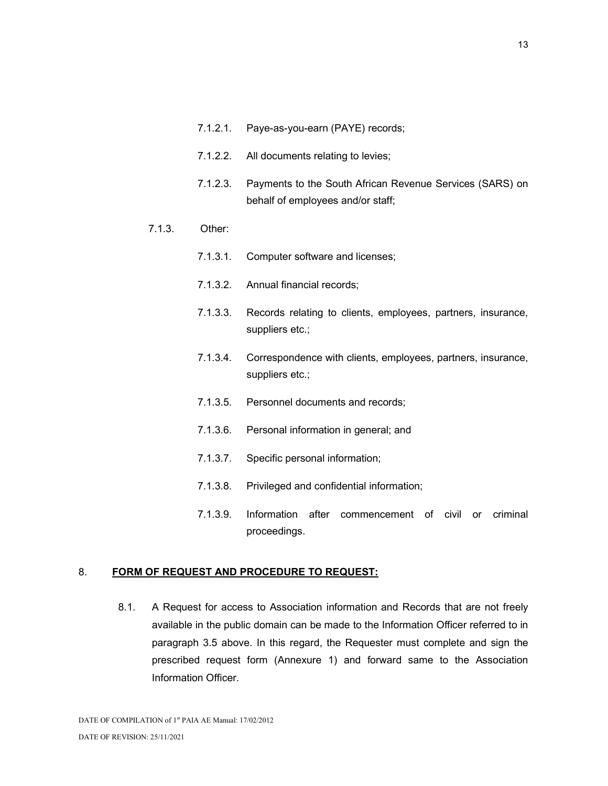- 7.1.2.1. Paye-as-you-earn (PAYE) records;
- 7.1.2.2. All documents relating to levies;
- 7.1.2.3. Payments to the South African Revenue Services (SARS) on behalf of employees and/or staff;

#### 7.1.3. Other:

- 7.1.3.1. Computer software and licenses;
- 7.1.3.2. Annual financial records;
- 7.1.3.3. Records relating to clients, employees, partners, insurance, suppliers etc.;
- 7.1.3.4. Correspondence with clients, employees, partners, insurance, suppliers etc.;
- 7.1.3.5. Personnel documents and records;
- 7.1.3.6. Personal information in general; and
- 7.1.3.7. Specific personal information;
- 7.1.3.8. Privileged and confidential information;
- 7.1.3.9. Information after commencement of civil or criminal proceedings.

#### 8. FORM OF REQUEST AND PROCEDURE TO REQUEST:

8.1. A Request for access to Association information and Records that are not freely available in the public domain can be made to the Information Officer referred to in paragraph 3.5 above. In this regard, the Requester must complete and sign the prescribed request form (Annexure 1) and forward same to the Association Information Officer.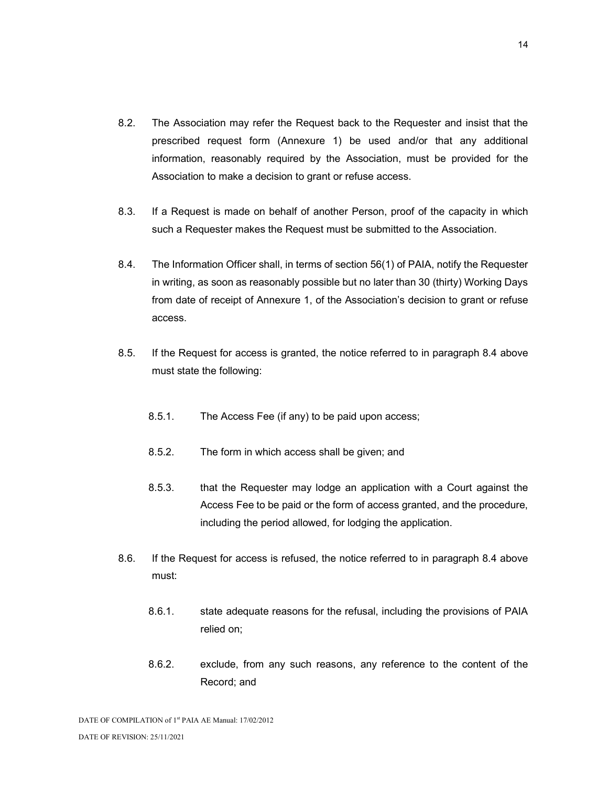- 8.2. The Association may refer the Request back to the Requester and insist that the prescribed request form (Annexure 1) be used and/or that any additional information, reasonably required by the Association, must be provided for the Association to make a decision to grant or refuse access.
- 8.3. If a Request is made on behalf of another Person, proof of the capacity in which such a Requester makes the Request must be submitted to the Association.
- 8.4. The Information Officer shall, in terms of section 56(1) of PAIA, notify the Requester in writing, as soon as reasonably possible but no later than 30 (thirty) Working Days from date of receipt of Annexure 1, of the Association's decision to grant or refuse access.
- 8.5. If the Request for access is granted, the notice referred to in paragraph 8.4 above must state the following:
	- 8.5.1. The Access Fee (if any) to be paid upon access;
	- 8.5.2. The form in which access shall be given; and
	- 8.5.3. that the Requester may lodge an application with a Court against the Access Fee to be paid or the form of access granted, and the procedure, including the period allowed, for lodging the application.
- 8.6. If the Request for access is refused, the notice referred to in paragraph 8.4 above must:
	- 8.6.1. state adequate reasons for the refusal, including the provisions of PAIA relied on;
	- 8.6.2. exclude, from any such reasons, any reference to the content of the Record; and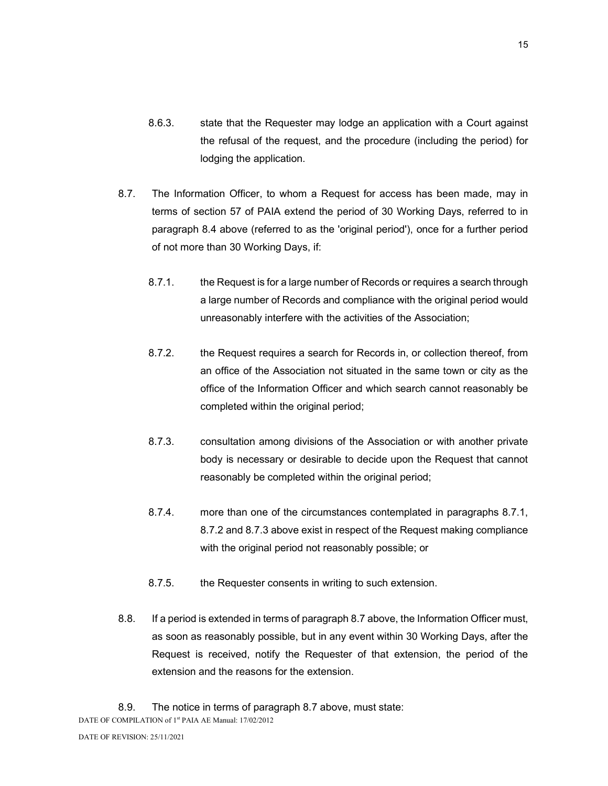- 8.6.3. state that the Requester may lodge an application with a Court against the refusal of the request, and the procedure (including the period) for lodging the application.
- 8.7. The Information Officer, to whom a Request for access has been made, may in terms of section 57 of PAIA extend the period of 30 Working Days, referred to in paragraph 8.4 above (referred to as the 'original period'), once for a further period of not more than 30 Working Days, if:
	- 8.7.1. the Request is for a large number of Records or requires a search through a large number of Records and compliance with the original period would unreasonably interfere with the activities of the Association;
	- 8.7.2. the Request requires a search for Records in, or collection thereof, from an office of the Association not situated in the same town or city as the office of the Information Officer and which search cannot reasonably be completed within the original period;
	- 8.7.3. consultation among divisions of the Association or with another private body is necessary or desirable to decide upon the Request that cannot reasonably be completed within the original period;
	- 8.7.4. more than one of the circumstances contemplated in paragraphs 8.7.1, 8.7.2 and 8.7.3 above exist in respect of the Request making compliance with the original period not reasonably possible; or
	- 8.7.5. the Requester consents in writing to such extension.
- 8.8. If a period is extended in terms of paragraph 8.7 above, the Information Officer must, as soon as reasonably possible, but in any event within 30 Working Days, after the Request is received, notify the Requester of that extension, the period of the extension and the reasons for the extension.
- DATE OF COMPILATION of 1<sup>st</sup> PAIA AE Manual: 17/02/2012 8.9. The notice in terms of paragraph 8.7 above, must state: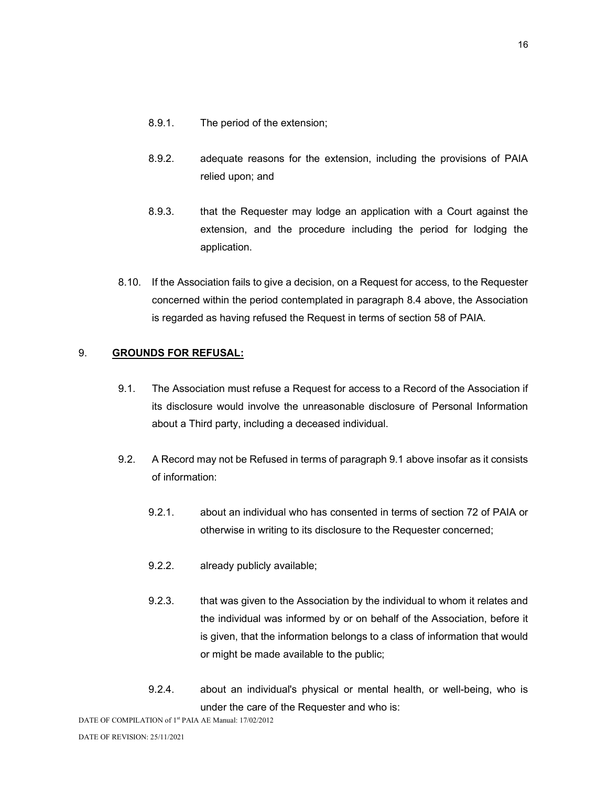- 8.9.1. The period of the extension;
- 8.9.2. adequate reasons for the extension, including the provisions of PAIA relied upon; and
- 8.9.3. that the Requester may lodge an application with a Court against the extension, and the procedure including the period for lodging the application.
- 8.10. If the Association fails to give a decision, on a Request for access, to the Requester concerned within the period contemplated in paragraph 8.4 above, the Association is regarded as having refused the Request in terms of section 58 of PAIA.

## 9. GROUNDS FOR REFUSAL:

- 9.1. The Association must refuse a Request for access to a Record of the Association if its disclosure would involve the unreasonable disclosure of Personal Information about a Third party, including a deceased individual.
- 9.2. A Record may not be Refused in terms of paragraph 9.1 above insofar as it consists of information:
	- 9.2.1. about an individual who has consented in terms of section 72 of PAIA or otherwise in writing to its disclosure to the Requester concerned;
	- 9.2.2. already publicly available;
	- 9.2.3. that was given to the Association by the individual to whom it relates and the individual was informed by or on behalf of the Association, before it is given, that the information belongs to a class of information that would or might be made available to the public;
	- 9.2.4. about an individual's physical or mental health, or well-being, who is under the care of the Requester and who is:

DATE OF COMPILATION of 1<sup>st</sup> PAIA AE Manual: 17/02/2012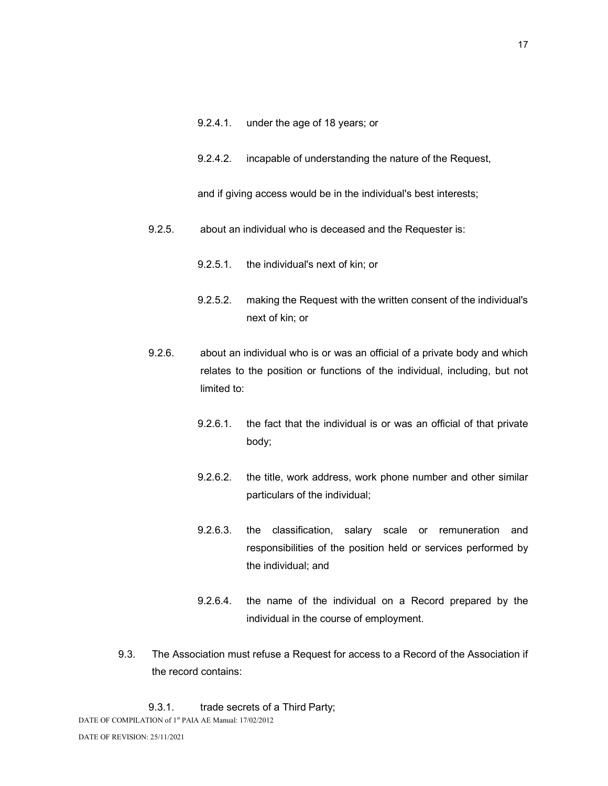- 9.2.4.1. under the age of 18 years; or
- 9.2.4.2. incapable of understanding the nature of the Request,

and if giving access would be in the individual's best interests;

- 9.2.5. about an individual who is deceased and the Requester is:
	- 9.2.5.1. the individual's next of kin; or
	- 9.2.5.2. making the Request with the written consent of the individual's next of kin; or
- 9.2.6. about an individual who is or was an official of a private body and which relates to the position or functions of the individual, including, but not limited to:
	- 9.2.6.1. the fact that the individual is or was an official of that private body;
	- 9.2.6.2. the title, work address, work phone number and other similar particulars of the individual;
	- 9.2.6.3. the classification, salary scale or remuneration and responsibilities of the position held or services performed by the individual; and
	- 9.2.6.4. the name of the individual on a Record prepared by the individual in the course of employment.
- 9.3. The Association must refuse a Request for access to a Record of the Association if the record contains:

DATE OF COMPILATION of 1<sup>st</sup> PAIA AE Manual: 17/02/2012 9.3.1. trade secrets of a Third Party;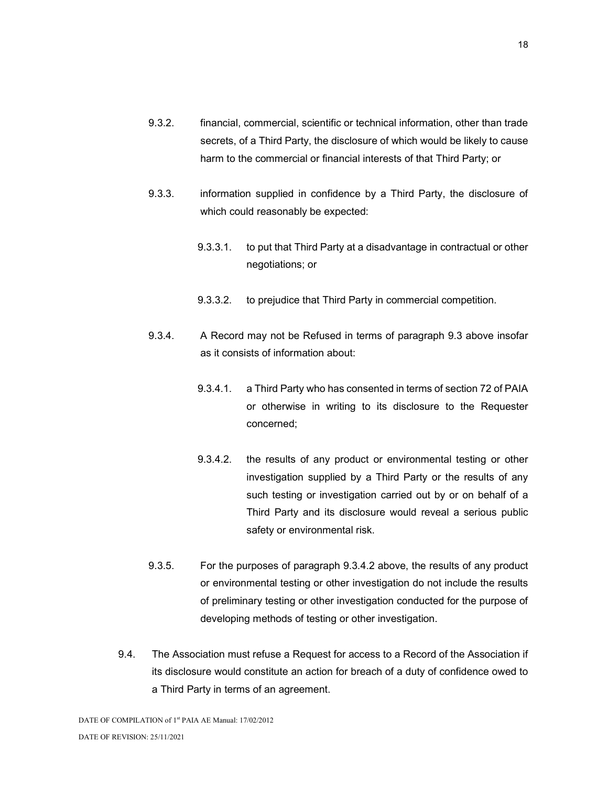- 9.3.2. financial, commercial, scientific or technical information, other than trade secrets, of a Third Party, the disclosure of which would be likely to cause harm to the commercial or financial interests of that Third Party; or
- 9.3.3. information supplied in confidence by a Third Party, the disclosure of which could reasonably be expected:
	- 9.3.3.1. to put that Third Party at a disadvantage in contractual or other negotiations; or
	- 9.3.3.2. to prejudice that Third Party in commercial competition.
- 9.3.4. A Record may not be Refused in terms of paragraph 9.3 above insofar as it consists of information about:
	- 9.3.4.1. a Third Party who has consented in terms of section 72 of PAIA or otherwise in writing to its disclosure to the Requester concerned;
	- 9.3.4.2. the results of any product or environmental testing or other investigation supplied by a Third Party or the results of any such testing or investigation carried out by or on behalf of a Third Party and its disclosure would reveal a serious public safety or environmental risk.
- 9.3.5. For the purposes of paragraph 9.3.4.2 above, the results of any product or environmental testing or other investigation do not include the results of preliminary testing or other investigation conducted for the purpose of developing methods of testing or other investigation.
- 9.4. The Association must refuse a Request for access to a Record of the Association if its disclosure would constitute an action for breach of a duty of confidence owed to a Third Party in terms of an agreement.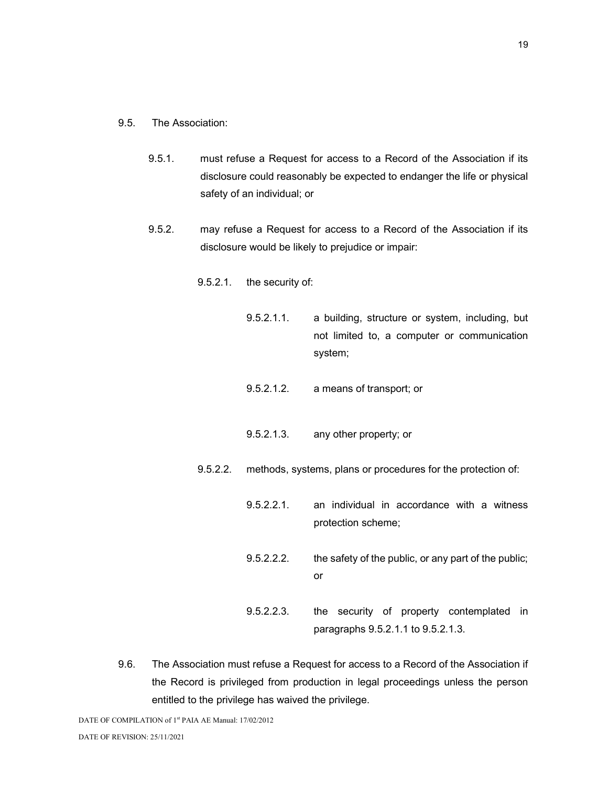- 9.5. The Association:
	- 9.5.1. must refuse a Request for access to a Record of the Association if its disclosure could reasonably be expected to endanger the life or physical safety of an individual; or
	- 9.5.2. may refuse a Request for access to a Record of the Association if its disclosure would be likely to prejudice or impair:
		- 9.5.2.1. the security of:
			- 9.5.2.1.1. a building, structure or system, including, but not limited to, a computer or communication system;
			- 9.5.2.1.2. a means of transport; or
			- 9.5.2.1.3. any other property; or
		- 9.5.2.2. methods, systems, plans or procedures for the protection of:
			- 9.5.2.2.1. an individual in accordance with a witness protection scheme;
			- 9.5.2.2.2. the safety of the public, or any part of the public; or
			- 9.5.2.2.3. the security of property contemplated in paragraphs 9.5.2.1.1 to 9.5.2.1.3.
- 9.6. The Association must refuse a Request for access to a Record of the Association if the Record is privileged from production in legal proceedings unless the person entitled to the privilege has waived the privilege.

DATE OF COMPILATION of 1<sup>st</sup> PAIA AE Manual: 17/02/2012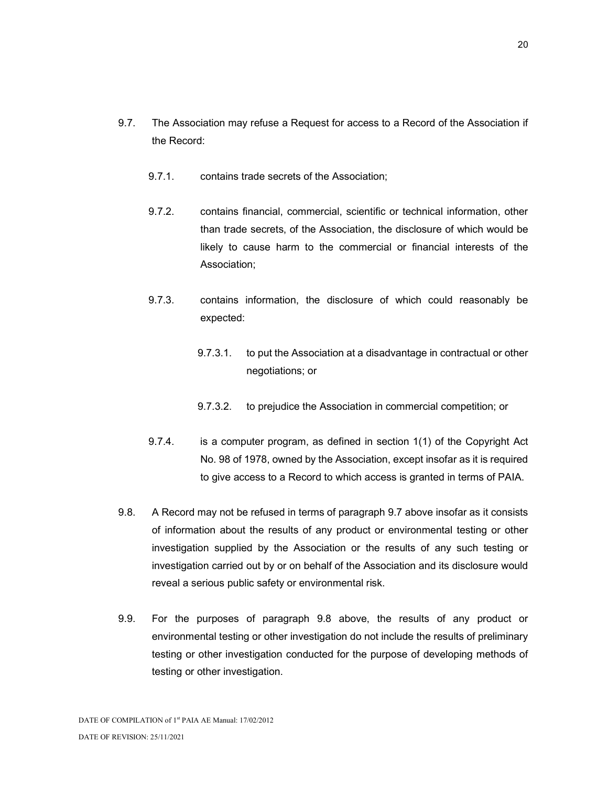- 9.7. The Association may refuse a Request for access to a Record of the Association if the Record:
	- 9.7.1. contains trade secrets of the Association;
	- 9.7.2. contains financial, commercial, scientific or technical information, other than trade secrets, of the Association, the disclosure of which would be likely to cause harm to the commercial or financial interests of the Association;
	- 9.7.3. contains information, the disclosure of which could reasonably be expected:
		- 9.7.3.1. to put the Association at a disadvantage in contractual or other negotiations; or
		- 9.7.3.2. to prejudice the Association in commercial competition; or
	- 9.7.4. is a computer program, as defined in section 1(1) of the Copyright Act No. 98 of 1978, owned by the Association, except insofar as it is required to give access to a Record to which access is granted in terms of PAIA.
- 9.8. A Record may not be refused in terms of paragraph 9.7 above insofar as it consists of information about the results of any product or environmental testing or other investigation supplied by the Association or the results of any such testing or investigation carried out by or on behalf of the Association and its disclosure would reveal a serious public safety or environmental risk.
- 9.9. For the purposes of paragraph 9.8 above, the results of any product or environmental testing or other investigation do not include the results of preliminary testing or other investigation conducted for the purpose of developing methods of testing or other investigation.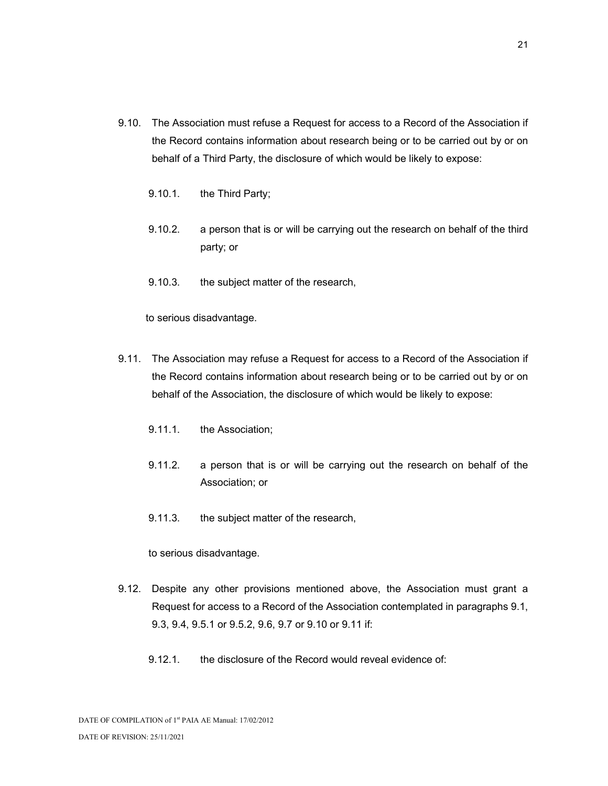- 9.10. The Association must refuse a Request for access to a Record of the Association if the Record contains information about research being or to be carried out by or on behalf of a Third Party, the disclosure of which would be likely to expose:
	- 9.10.1. the Third Party;
	- 9.10.2. a person that is or will be carrying out the research on behalf of the third party; or
	- 9.10.3. the subject matter of the research,

to serious disadvantage.

- 9.11. The Association may refuse a Request for access to a Record of the Association if the Record contains information about research being or to be carried out by or on behalf of the Association, the disclosure of which would be likely to expose:
	- 9.11.1. the Association;
	- 9.11.2. a person that is or will be carrying out the research on behalf of the Association; or
	- 9.11.3. the subject matter of the research,

to serious disadvantage.

- 9.12. Despite any other provisions mentioned above, the Association must grant a Request for access to a Record of the Association contemplated in paragraphs 9.1, 9.3, 9.4, 9.5.1 or 9.5.2, 9.6, 9.7 or 9.10 or 9.11 if:
	- 9.12.1. the disclosure of the Record would reveal evidence of: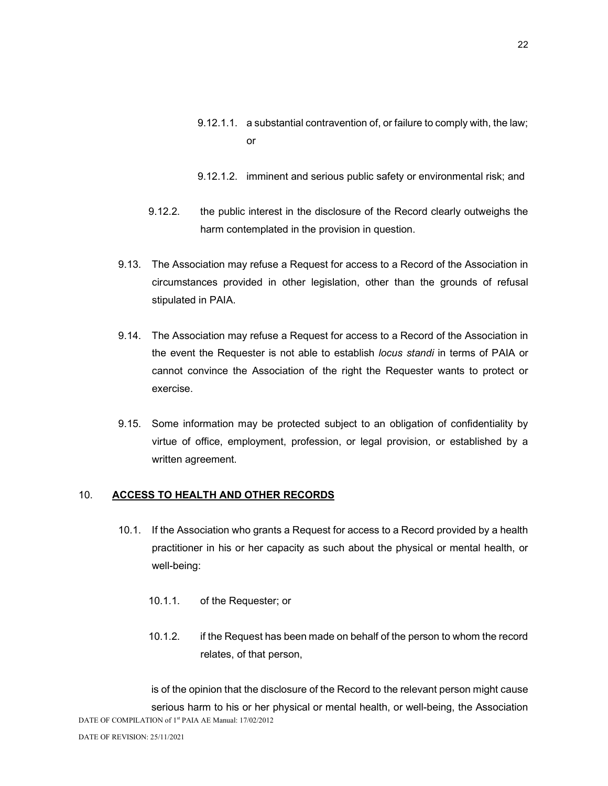- 9.12.1.1. a substantial contravention of, or failure to comply with, the law; or
- 9.12.1.2. imminent and serious public safety or environmental risk; and
- 9.12.2. the public interest in the disclosure of the Record clearly outweighs the harm contemplated in the provision in question.
- 9.13. The Association may refuse a Request for access to a Record of the Association in circumstances provided in other legislation, other than the grounds of refusal stipulated in PAIA.
- 9.14. The Association may refuse a Request for access to a Record of the Association in the event the Requester is not able to establish locus standi in terms of PAIA or cannot convince the Association of the right the Requester wants to protect or exercise.
- 9.15. Some information may be protected subject to an obligation of confidentiality by virtue of office, employment, profession, or legal provision, or established by a written agreement.

## 10. ACCESS TO HEALTH AND OTHER RECORDS

- 10.1. If the Association who grants a Request for access to a Record provided by a health practitioner in his or her capacity as such about the physical or mental health, or well-being:
	- 10.1.1. of the Requester; or
	- 10.1.2. if the Request has been made on behalf of the person to whom the record relates, of that person,

DATE OF COMPILATION of 1<sup>st</sup> PAIA AE Manual: 17/02/2012 is of the opinion that the disclosure of the Record to the relevant person might cause serious harm to his or her physical or mental health, or well-being, the Association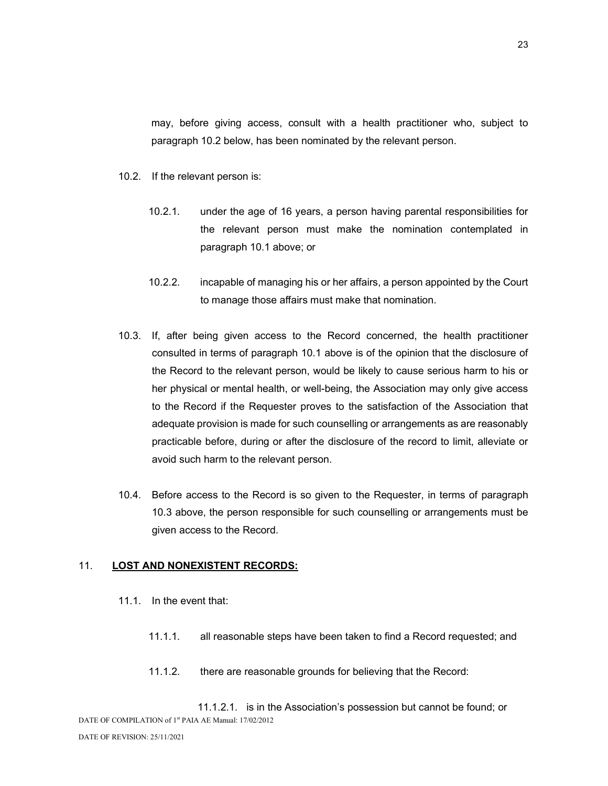may, before giving access, consult with a health practitioner who, subject to paragraph 10.2 below, has been nominated by the relevant person.

- 10.2. If the relevant person is:
	- 10.2.1. under the age of 16 years, a person having parental responsibilities for the relevant person must make the nomination contemplated in paragraph 10.1 above; or
	- 10.2.2. incapable of managing his or her affairs, a person appointed by the Court to manage those affairs must make that nomination.
- 10.3. If, after being given access to the Record concerned, the health practitioner consulted in terms of paragraph 10.1 above is of the opinion that the disclosure of the Record to the relevant person, would be likely to cause serious harm to his or her physical or mental health, or well-being, the Association may only give access to the Record if the Requester proves to the satisfaction of the Association that adequate provision is made for such counselling or arrangements as are reasonably practicable before, during or after the disclosure of the record to limit, alleviate or avoid such harm to the relevant person.
- 10.4. Before access to the Record is so given to the Requester, in terms of paragraph 10.3 above, the person responsible for such counselling or arrangements must be given access to the Record.

#### 11. LOST AND NONEXISTENT RECORDS:

- 11.1. In the event that:
	- 11.1.1. all reasonable steps have been taken to find a Record requested; and
	- 11.1.2. there are reasonable grounds for believing that the Record:

DATE OF COMPILATION of 1<sup>st</sup> PAIA AE Manual: 17/02/2012 11.1.2.1. is in the Association's possession but cannot be found; or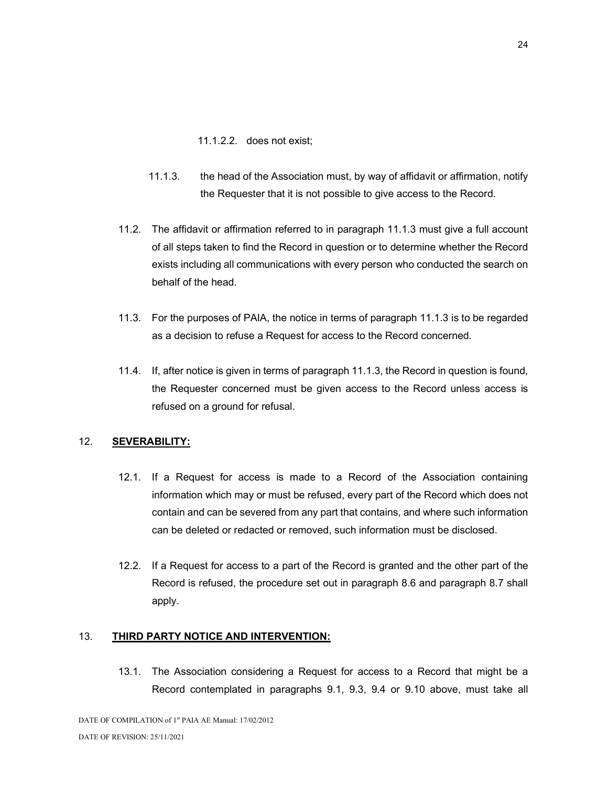11.1.2.2. does not exist;

- 11.1.3. the head of the Association must, by way of affidavit or affirmation, notify the Requester that it is not possible to give access to the Record.
- 11.2. The affidavit or affirmation referred to in paragraph 11.1.3 must give a full account of all steps taken to find the Record in question or to determine whether the Record exists including all communications with every person who conducted the search on behalf of the head.
- 11.3. For the purposes of PAIA, the notice in terms of paragraph 11.1.3 is to be regarded as a decision to refuse a Request for access to the Record concerned.
- 11.4. If, after notice is given in terms of paragraph 11.1.3, the Record in question is found, the Requester concerned must be given access to the Record unless access is refused on a ground for refusal.

## 12. SEVERABILITY:

- 12.1. If a Request for access is made to a Record of the Association containing information which may or must be refused, every part of the Record which does not contain and can be severed from any part that contains, and where such information can be deleted or redacted or removed, such information must be disclosed.
- 12.2. If a Request for access to a part of the Record is granted and the other part of the Record is refused, the procedure set out in paragraph 8.6 and paragraph 8.7 shall apply.

## 13. THIRD PARTY NOTICE AND INTERVENTION:

13.1. The Association considering a Request for access to a Record that might be a Record contemplated in paragraphs 9.1, 9.3, 9.4 or 9.10 above, must take all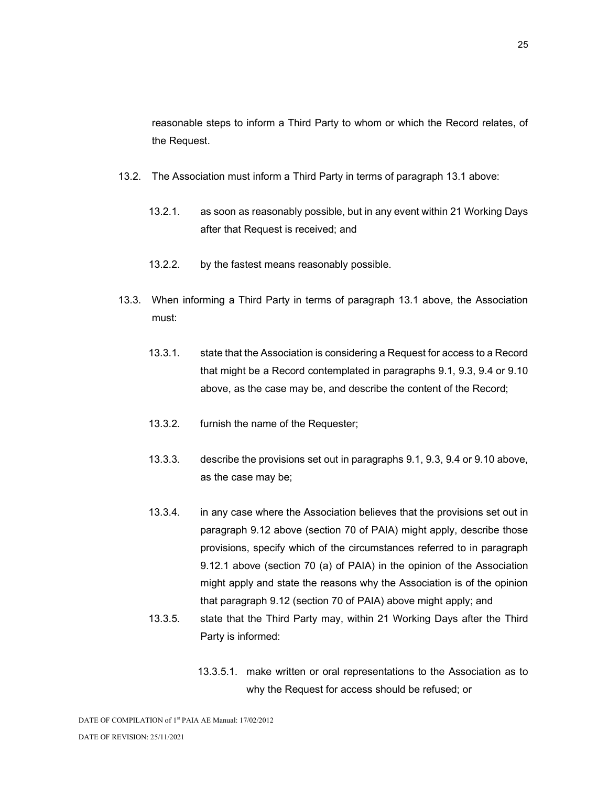reasonable steps to inform a Third Party to whom or which the Record relates, of the Request.

- 13.2. The Association must inform a Third Party in terms of paragraph 13.1 above:
	- 13.2.1. as soon as reasonably possible, but in any event within 21 Working Days after that Request is received; and
	- 13.2.2. by the fastest means reasonably possible.
- 13.3. When informing a Third Party in terms of paragraph 13.1 above, the Association must:
	- 13.3.1. state that the Association is considering a Request for access to a Record that might be a Record contemplated in paragraphs 9.1, 9.3, 9.4 or 9.10 above, as the case may be, and describe the content of the Record;
	- 13.3.2. furnish the name of the Requester;
	- 13.3.3. describe the provisions set out in paragraphs 9.1, 9.3, 9.4 or 9.10 above, as the case may be;
	- 13.3.4. in any case where the Association believes that the provisions set out in paragraph 9.12 above (section 70 of PAIA) might apply, describe those provisions, specify which of the circumstances referred to in paragraph 9.12.1 above (section 70 (a) of PAIA) in the opinion of the Association might apply and state the reasons why the Association is of the opinion that paragraph 9.12 (section 70 of PAIA) above might apply; and
	- 13.3.5. state that the Third Party may, within 21 Working Days after the Third Party is informed:
		- 13.3.5.1. make written or oral representations to the Association as to why the Request for access should be refused; or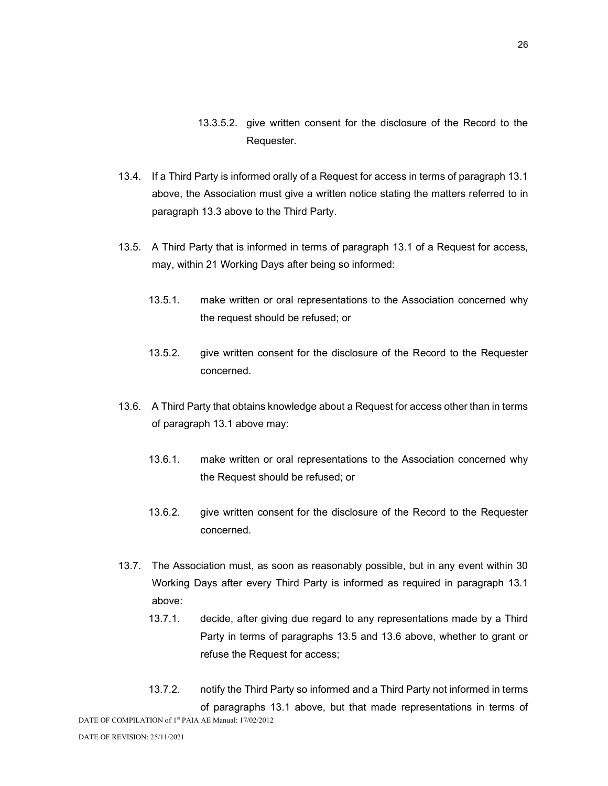- 13.3.5.2. give written consent for the disclosure of the Record to the Requester.
- 13.4. If a Third Party is informed orally of a Request for access in terms of paragraph 13.1 above, the Association must give a written notice stating the matters referred to in paragraph 13.3 above to the Third Party.
- 13.5. A Third Party that is informed in terms of paragraph 13.1 of a Request for access, may, within 21 Working Days after being so informed:
	- 13.5.1. make written or oral representations to the Association concerned why the request should be refused; or
	- 13.5.2. give written consent for the disclosure of the Record to the Requester concerned.
- 13.6. A Third Party that obtains knowledge about a Request for access other than in terms of paragraph 13.1 above may:
	- 13.6.1. make written or oral representations to the Association concerned why the Request should be refused; or
	- 13.6.2. give written consent for the disclosure of the Record to the Requester concerned.
- 13.7. The Association must, as soon as reasonably possible, but in any event within 30 Working Days after every Third Party is informed as required in paragraph 13.1 above:
	- 13.7.1. decide, after giving due regard to any representations made by a Third Party in terms of paragraphs 13.5 and 13.6 above, whether to grant or refuse the Request for access;
- DATE OF COMPILATION of 1<sup>st</sup> PAIA AE Manual: 17/02/2012 13.7.2. notify the Third Party so informed and a Third Party not informed in terms of paragraphs 13.1 above, but that made representations in terms of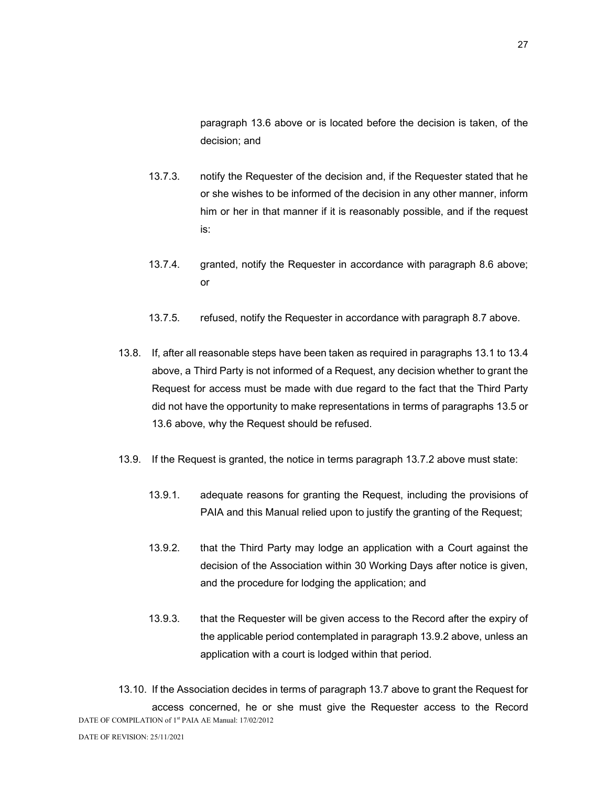paragraph 13.6 above or is located before the decision is taken, of the decision; and

- 13.7.3. notify the Requester of the decision and, if the Requester stated that he or she wishes to be informed of the decision in any other manner, inform him or her in that manner if it is reasonably possible, and if the request is:
- 13.7.4. granted, notify the Requester in accordance with paragraph 8.6 above; or
- 13.7.5. refused, notify the Requester in accordance with paragraph 8.7 above.
- 13.8. If, after all reasonable steps have been taken as required in paragraphs 13.1 to 13.4 above, a Third Party is not informed of a Request, any decision whether to grant the Request for access must be made with due regard to the fact that the Third Party did not have the opportunity to make representations in terms of paragraphs 13.5 or 13.6 above, why the Request should be refused.
- 13.9. If the Request is granted, the notice in terms paragraph 13.7.2 above must state:
	- 13.9.1. adequate reasons for granting the Request, including the provisions of PAIA and this Manual relied upon to justify the granting of the Request;
	- 13.9.2. that the Third Party may lodge an application with a Court against the decision of the Association within 30 Working Days after notice is given, and the procedure for lodging the application; and
	- 13.9.3. that the Requester will be given access to the Record after the expiry of the applicable period contemplated in paragraph 13.9.2 above, unless an application with a court is lodged within that period.

DATE OF COMPILATION of 1<sup>st</sup> PAIA AE Manual: 17/02/2012 13.10. If the Association decides in terms of paragraph 13.7 above to grant the Request for access concerned, he or she must give the Requester access to the Record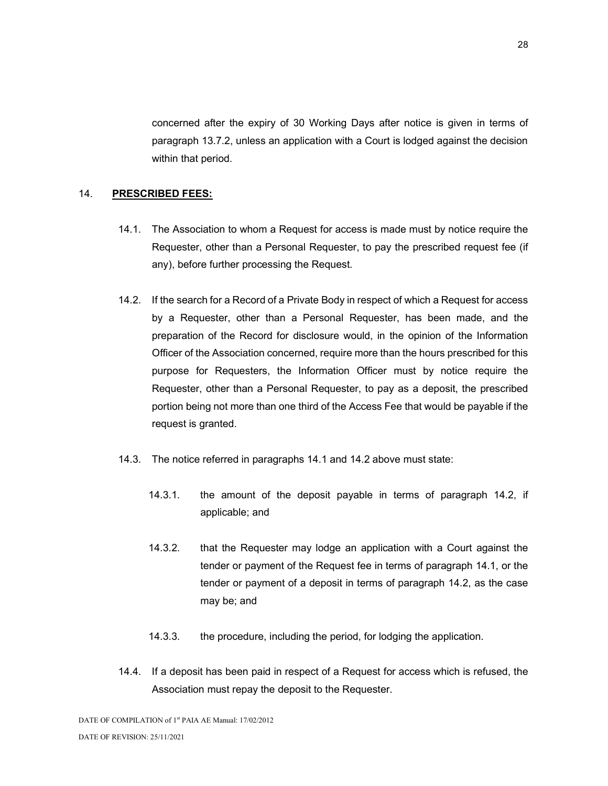concerned after the expiry of 30 Working Days after notice is given in terms of paragraph 13.7.2, unless an application with a Court is lodged against the decision within that period.

## 14. PRESCRIBED FEES:

- 14.1. The Association to whom a Request for access is made must by notice require the Requester, other than a Personal Requester, to pay the prescribed request fee (if any), before further processing the Request.
- 14.2. If the search for a Record of a Private Body in respect of which a Request for access by a Requester, other than a Personal Requester, has been made, and the preparation of the Record for disclosure would, in the opinion of the Information Officer of the Association concerned, require more than the hours prescribed for this purpose for Requesters, the Information Officer must by notice require the Requester, other than a Personal Requester, to pay as a deposit, the prescribed portion being not more than one third of the Access Fee that would be payable if the request is granted.
- 14.3. The notice referred in paragraphs 14.1 and 14.2 above must state:
	- 14.3.1. the amount of the deposit payable in terms of paragraph 14.2, if applicable; and
	- 14.3.2. that the Requester may lodge an application with a Court against the tender or payment of the Request fee in terms of paragraph 14.1, or the tender or payment of a deposit in terms of paragraph 14.2, as the case may be; and
	- 14.3.3. the procedure, including the period, for lodging the application.
- 14.4. If a deposit has been paid in respect of a Request for access which is refused, the Association must repay the deposit to the Requester.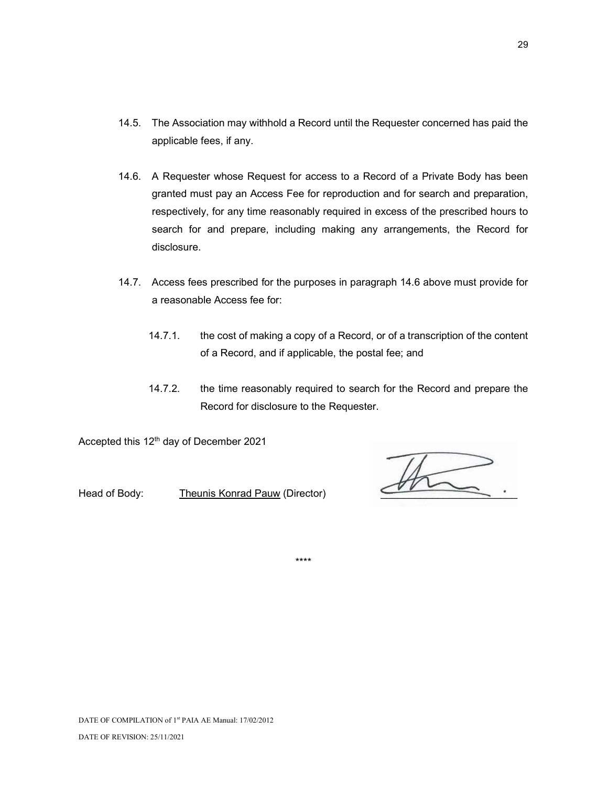- 14.5. The Association may withhold a Record until the Requester concerned has paid the applicable fees, if any.
- 14.6. A Requester whose Request for access to a Record of a Private Body has been granted must pay an Access Fee for reproduction and for search and preparation, respectively, for any time reasonably required in excess of the prescribed hours to search for and prepare, including making any arrangements, the Record for disclosure.
- 14.7. Access fees prescribed for the purposes in paragraph 14.6 above must provide for a reasonable Access fee for:
	- 14.7.1. the cost of making a copy of a Record, or of a transcription of the content of a Record, and if applicable, the postal fee; and
	- 14.7.2. the time reasonably required to search for the Record and prepare the Record for disclosure to the Requester.

Accepted this 12<sup>th</sup> day of December 2021

Head of Body: Theunis Konrad Pauw (Director)

\*\*\*\*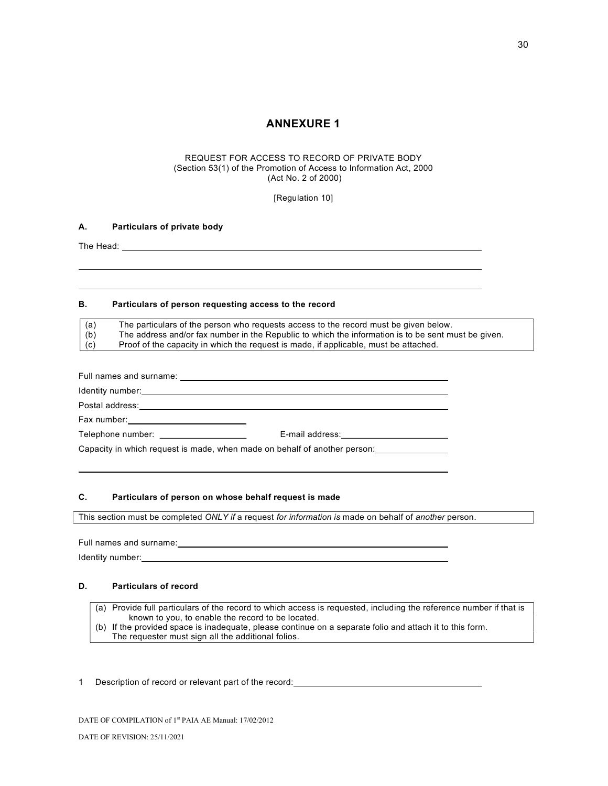## ANNEXURE 1

#### REQUEST FOR ACCESS TO RECORD OF PRIVATE BODY (Section 53(1) of the Promotion of Access to Information Act, 2000 (Act No. 2 of 2000)

[Regulation 10]

#### A. Particulars of private body

The Head:

l. l

l.

#### B. Particulars of person requesting access to the record

| (a)        | The particulars of the person who requests access to the record must be given below.                |
|------------|-----------------------------------------------------------------------------------------------------|
| (b)        | The address and/or fax number in the Republic to which the information is to be sent must be given. |
| $\mid$ (c) | Proof of the capacity in which the request is made, if applicable, must be attached.                |

| Postal address: Note and the set of the set of the set of the set of the set of the set of the set of the set o |                                                                                                                                                                                                                               |
|-----------------------------------------------------------------------------------------------------------------|-------------------------------------------------------------------------------------------------------------------------------------------------------------------------------------------------------------------------------|
|                                                                                                                 |                                                                                                                                                                                                                               |
| Telephone number: Telephone number:                                                                             |                                                                                                                                                                                                                               |
| Capacity in which request is made, when made on behalf of another person:                                       |                                                                                                                                                                                                                               |
|                                                                                                                 | E-mail address: E-mail and the state of the state of the state of the state of the state of the state of the state of the state of the state of the state of the state of the state of the state of the state of the state of |

#### C. Particulars of person on whose behalf request is made

This section must be completed ONLY if a request for information is made on behalf of another person.

Full names and surname: Identity number:

#### D. Particulars of record

- (a) Provide full particulars of the record to which access is requested, including the reference number if that is known to you, to enable the record to be located.
- (b) If the provided space is inadequate, please continue on a separate folio and attach it to this form. The requester must sign all the additional folios.

#### 1 Description of record or relevant part of the record: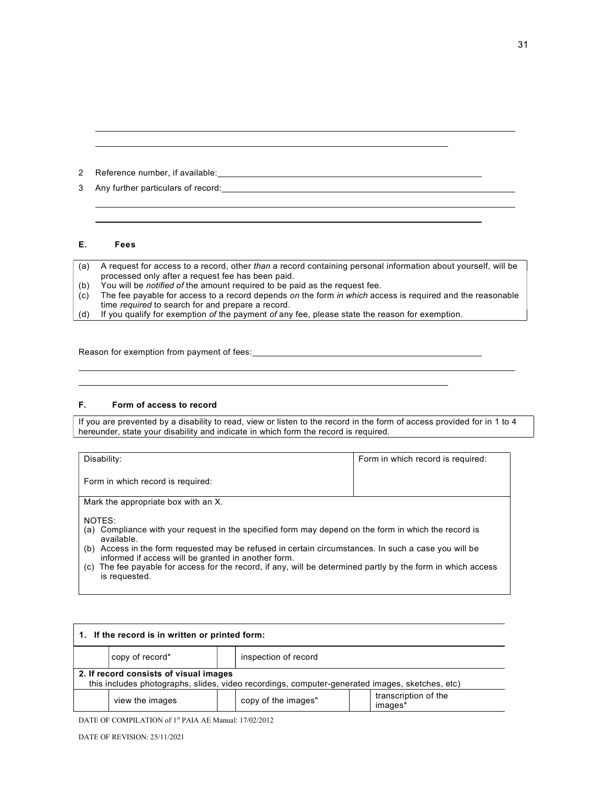2 Reference number, if available:

3 Any further particulars of record:

#### E. Fees

l l.

ı

l l.

- (a) A request for access to a record, other than a record containing personal information about yourself, will be processed only after a request fee has been paid.
- (b) You will be notified of the amount required to be paid as the request fee.
- (c) The fee payable for access to a record depends on the form in which access is required and the reasonable time required to search for and prepare a record.

(d) If you qualify for exemption of the payment of any fee, please state the reason for exemption.

Reason for exemption from payment of fees:

#### F. Form of access to record

If you are prevented by a disability to read, view or listen to the record in the form of access provided for in 1 to 4 hereunder, state your disability and indicate in which form the record is required.

| Disability:                                                                                                                                                 | Form in which record is required: |  |  |  |  |
|-------------------------------------------------------------------------------------------------------------------------------------------------------------|-----------------------------------|--|--|--|--|
| Form in which record is required:                                                                                                                           |                                   |  |  |  |  |
| Mark the appropriate box with an X.                                                                                                                         |                                   |  |  |  |  |
| NOTES:<br>(a) Compliance with your request in the specified form may depend on the form in which the record is<br>available.                                |                                   |  |  |  |  |
| (b) Access in the form requested may be refused in certain circumstances. In such a case you will be<br>informed if access will be granted in another form. |                                   |  |  |  |  |
| (c) The fee payable for access for the record, if any, will be determined partly by the form in which access<br>is requested.                               |                                   |  |  |  |  |

| 1. If the record is in written or printed form:                                                                                          |                 |  |                      |  |                                 |  |
|------------------------------------------------------------------------------------------------------------------------------------------|-----------------|--|----------------------|--|---------------------------------|--|
|                                                                                                                                          | copy of record* |  | inspection of record |  |                                 |  |
| 2. If record consists of visual images<br>this includes photographs, slides, video recordings, computer-generated images, sketches, etc) |                 |  |                      |  |                                 |  |
|                                                                                                                                          | view the images |  | copy of the images"  |  | transcription of the<br>images* |  |

DATE OF COMPILATION of 1<sup>st</sup> PAIA AE Manual: 17/02/2012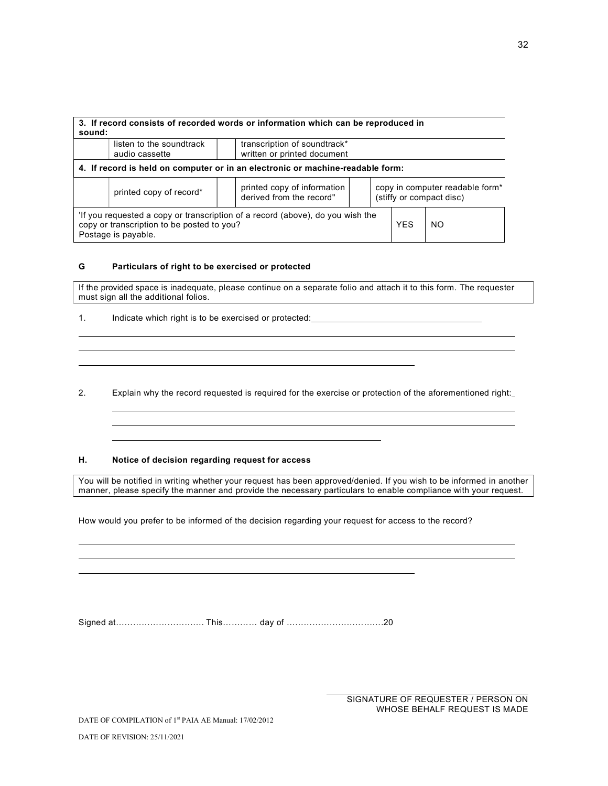| 3. If record consists of recorded words or information which can be reproduced in<br>sound:                                                                                   |                                                                                                                                                   |                                                             |  |  |  |  |
|-------------------------------------------------------------------------------------------------------------------------------------------------------------------------------|---------------------------------------------------------------------------------------------------------------------------------------------------|-------------------------------------------------------------|--|--|--|--|
|                                                                                                                                                                               | listen to the soundtrack<br>audio cassette                                                                                                        | transcription of soundtrack*<br>written or printed document |  |  |  |  |
| 4. If record is held on computer or in an electronic or machine-readable form:                                                                                                |                                                                                                                                                   |                                                             |  |  |  |  |
|                                                                                                                                                                               | printed copy of information<br>copy in computer readable form*<br>printed copy of record*<br>derived from the record"<br>(stiffy or compact disc) |                                                             |  |  |  |  |
| If you requested a copy or transcription of a record (above), do you wish the<br>copy or transcription to be posted to you?<br><b>YFS</b><br><b>NO</b><br>Postage is payable. |                                                                                                                                                   |                                                             |  |  |  |  |

#### G Particulars of right to be exercised or protected

If the provided space is inadequate, please continue on a separate folio and attach it to this form. The requester must sign all the additional folios.

1. Indicate which right is to be exercised or protected:

l

l

l.

l.

l

l

2. Explain why the record requested is required for the exercise or protection of the aforementioned right:

#### H. Notice of decision regarding request for access

You will be notified in writing whether your request has been approved/denied. If you wish to be informed in another manner, please specify the manner and provide the necessary particulars to enable compliance with your request.

ı

How would you prefer to be informed of the decision regarding your request for access to the record?

Signed at…………………………. This………… day of …………………………….20

SIGNATURE OF REQUESTER / PERSON ON WHOSE BEHALF REQUEST IS MADE

DATE OF COMPILATION of 1<sup>st</sup> PAIA AE Manual: 17/02/2012

DATE OF REVISION: 25/11/2021